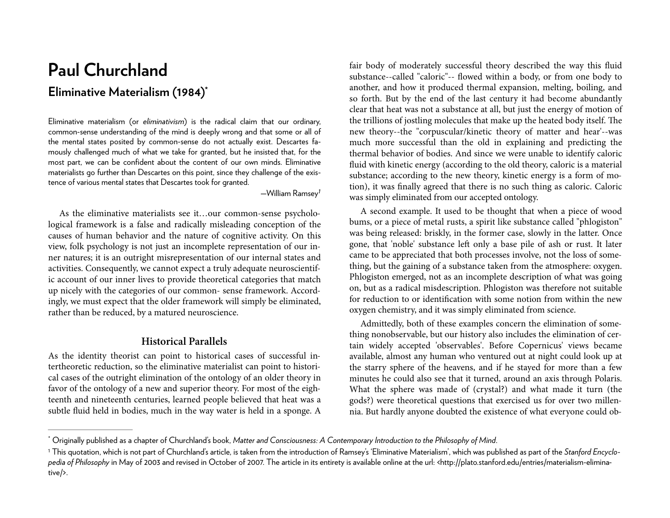## **Paul Churchland Eliminative Materialism (1984[\)\\*](#page-0-0)**

Eliminative materialism (or *eliminativism*) is the radical claim that our ordinary, common-sense understanding of the mind is deeply wrong and that some or all of the mental states posited by common-sense do not actually exist. Descartes famously challenged much of what we take for granted, but he insisted that, for the most part, we can be confident about the content of our own minds. Eliminative materialists go further than Descartes on this point, since they challenge of the existence of various mental states that Descartes took for granted.

<span id="page-0-2"></span>—William Ramsey*[1](#page-0-1)*

As the eliminative materialists see it…our common-sense psycholological framework is a false and radically misleading conception of the causes of human behavior and the nature of cognitive activity. On this view, folk psychology is not just an incomplete representation of our inner natures; it is an outright misrepresentation of our internal states and activities. Consequently, we cannot expect a truly adequate neuroscientific account of our inner lives to provide theoretical categories that match up nicely with the categories of our common- sense framework. Accordingly, we must expect that the older framework will simply be eliminated, rather than be reduced, by a matured neuroscience.

## **Historical Parallels**

As the identity theorist can point to historical cases of successful intertheoretic reduction, so the eliminative materialist can point to historical cases of the outright elimination of the ontology of an older theory in favor of the ontology of a new and superior theory. For most of the eighteenth and nineteenth centuries, learned people believed that heat was a subtle fluid held in bodies, much in the way water is held in a sponge. A fair body of moderately successful theory described the way this fluid substance--called "caloric"-- flowed within a body, or from one body to another, and how it produced thermal expansion, melting, boiling, and so forth. But by the end of the last century it had become abundantly clear that heat was not a substance at all, but just the energy of motion of the trillions of jostling molecules that make up the heated body itself. The new theory--the "corpuscular/kinetic theory of matter and hear'--was much more successful than the old in explaining and predicting the thermal behavior of bodies. And since we were unable to identify caloric fluid with kinetic energy (according to the old theory, caloric is a material substance; according to the new theory, kinetic energy is a form of motion), it was finally agreed that there is no such thing as caloric. Caloric was simply eliminated from our accepted ontology.

<span id="page-0-3"></span>A second example. It used to be thought that when a piece of wood bums, or a piece of metal rusts, a spirit like substance called "phlogiston" was being released: briskly, in the former case, slowly in the latter. Once gone, that 'noble' substance left only a base pile of ash or rust. It later came to be appreciated that both processes involve, not the loss of something, but the gaining of a substance taken from the atmosphere: oxygen. Phlogiston emerged, not as an incomplete description of what was going on, but as a radical misdescription. Phlogiston was therefore not suitable for reduction to or identification with some notion from within the new oxygen chemistry, and it was simply eliminated from science.

Admittedly, both of these examples concern the elimination of something nonobservable, but our history also includes the elimination of certain widely accepted 'observables'. Before Copernicus' views became available, almost any human who ventured out at night could look up at the starry sphere of the heavens, and if he stayed for more than a few minutes he could also see that it turned, around an axis through Polaris. What the sphere was made of (crystal?) and what made it turn (the gods?) were theoretical questions that exercised us for over two millennia. But hardly anyone doubted the existence of what everyone could ob-

<span id="page-0-0"></span>Originally published as a chapter of Churchland's book, *Matter and Consciousness: A Contemporary Introduction to the Philosophy of Mind*. [\\*](#page-0-2)

<span id="page-0-1"></span><sup>&</sup>lt;sup>[1](#page-0-3)</sup> This quotation, which is not part of Churchland's article, is taken from the introduction of Ramsey's 'Eliminative Materialism', which was published as part of the *Stanford Encyclo*pedia of Philosophy in May of 2003 and revised in October of 2007. The article in its entirety is available online at the url: <http://plato.stanford.edu/entries/materialism-eliminative/>.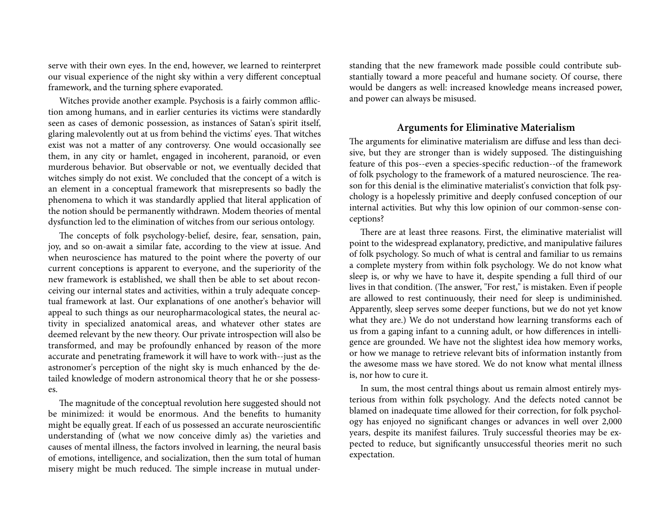serve with their own eyes. In the end, however, we learned to reinterpret our visual experience of the night sky within a very different conceptual framework, and the turning sphere evaporated.

Witches provide another example. Psychosis is a fairly common affliction among humans, and in earlier centuries its victims were standardly seen as cases of demonic possession, as instances of Satan's spirit itself, glaring malevolently out at us from behind the victims' eyes. Tat witches exist was not a matter of any controversy. One would occasionally see them, in any city or hamlet, engaged in incoherent, paranoid, or even murderous behavior. But observable or not, we eventually decided that witches simply do not exist. We concluded that the concept of a witch is an element in a conceptual framework that misrepresents so badly the phenomena to which it was standardly applied that literal application of the notion should be permanently withdrawn. Modem theories of mental dysfunction led to the elimination of witches from our serious ontology.

The concepts of folk psychology-belief, desire, fear, sensation, pain, joy, and so on-await a similar fate, according to the view at issue. And when neuroscience has matured to the point where the poverty of our current conceptions is apparent to everyone, and the superiority of the new framework is established, we shall then be able to set about reconceiving our internal states and activities, within a truly adequate conceptual framework at last. Our explanations of one another's behavior will appeal to such things as our neuropharmacological states, the neural activity in specialized anatomical areas, and whatever other states are deemed relevant by the new theory. Our private introspection will also be transformed, and may be profoundly enhanced by reason of the more accurate and penetrating framework it will have to work with--just as the astronomer's perception of the night sky is much enhanced by the detailed knowledge of modern astronomical theory that he or she possesses.

The magnitude of the conceptual revolution here suggested should not be minimized: it would be enormous. And the benefits to humanity might be equally great. If each of us possessed an accurate neuroscientific understanding of (what we now conceive dimly as) the varieties and causes of mental illness, the factors involved in learning, the neural basis of emotions, intelligence, and socialization, then the sum total of human misery might be much reduced. The simple increase in mutual understanding that the new framework made possible could contribute substantially toward a more peaceful and humane society. Of course, there would be dangers as well: increased knowledge means increased power, and power can always be misused.

## **Arguments for Eliminative Materialism**

The arguments for eliminative materialism are diffuse and less than decisive, but they are stronger than is widely supposed. The distinguishing feature of this pos--even a species-specific reduction--of the framework of folk psychology to the framework of a matured neuroscience. The reason for this denial is the eliminative materialist's conviction that folk psychology is a hopelessly primitive and deeply confused conception of our internal activities. But why this low opinion of our common-sense conceptions?

There are at least three reasons. First, the eliminative materialist will point to the widespread explanatory, predictive, and manipulative failures of folk psychology. So much of what is central and familiar to us remains a complete mystery from within folk psychology. We do not know what sleep is, or why we have to have it, despite spending a full third of our lives in that condition. (The answer, "For rest," is mistaken. Even if people are allowed to rest continuously, their need for sleep is undiminished. Apparently, sleep serves some deeper functions, but we do not yet know what they are.) We do not understand how learning transforms each of us from a gaping infant to a cunning adult, or how differences in intelligence are grounded. We have not the slightest idea how memory works, or how we manage to retrieve relevant bits of information instantly from the awesome mass we have stored. We do not know what mental illness is, nor how to cure it.

In sum, the most central things about us remain almost entirely mysterious from within folk psychology. And the defects noted cannot be blamed on inadequate time allowed for their correction, for folk psychology has enjoyed no significant changes or advances in well over 2,000 years, despite its manifest failures. Truly successful theories may be expected to reduce, but significantly unsuccessful theories merit no such expectation.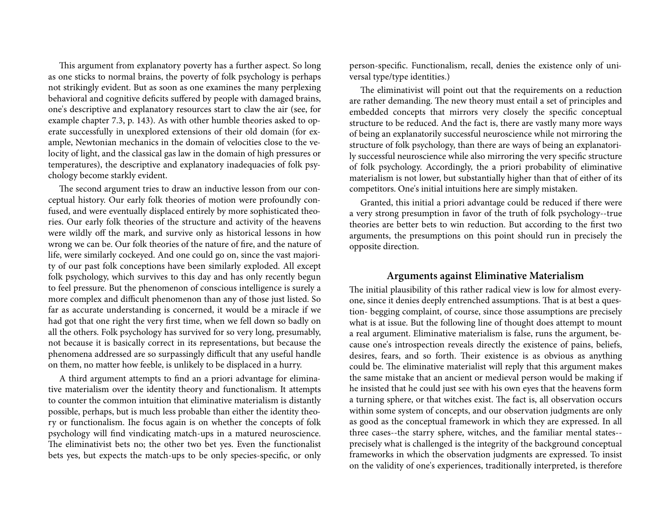This argument from explanatory poverty has a further aspect. So long as one sticks to normal brains, the poverty of folk psychology is perhaps not strikingly evident. But as soon as one examines the many perplexing behavioral and cognitive deficits suffered by people with damaged brains, one's descriptive and explanatory resources start to claw the air (see, for example chapter 7.3, p. 143). As with other humble theories asked to operate successfully in unexplored extensions of their old domain (for example, Newtonian mechanics in the domain of velocities close to the velocity of light, and the classical gas law in the domain of high pressures or temperatures), the descriptive and explanatory inadequacies of folk psychology become starkly evident.

The second argument tries to draw an inductive lesson from our conceptual history. Our early folk theories of motion were profoundly confused, and were eventually displaced entirely by more sophisticated theories. Our early folk theories of the structure and activity of the heavens were wildly off the mark, and survive only as historical lessons in how wrong we can be. Our folk theories of the nature of fire, and the nature of life, were similarly cockeyed. And one could go on, since the vast majority of our past folk conceptions have been similarly exploded. All except folk psychology, which survives to this day and has only recently begun to feel pressure. But the phenomenon of conscious intelligence is surely a more complex and difficult phenomenon than any of those just listed. So far as accurate understanding is concerned, it would be a miracle if we had got that one right the very first time, when we fell down so badly on all the others. Folk psychology has survived for so very long, presumably, not because it is basically correct in its representations, but because the phenomena addressed are so surpassingly difficult that any useful handle on them, no matter how feeble, is unlikely to be displaced in a hurry.

A third argument attempts to find an a priori advantage for eliminative materialism over the identity theory and functionalism. It attempts to counter the common intuition that eliminative materialism is distantly possible, perhaps, but is much less probable than either the identity theory or functionalism. Ihe focus again is on whether the concepts of folk psychology will find vindicating match-ups in a matured neuroscience. The eliminativist bets no; the other two bet yes. Even the functionalist bets yes, but expects the match-ups to be only species-specific, or only person-specific. Functionalism, recall, denies the existence only of universal type/type identities.)

The eliminativist will point out that the requirements on a reduction are rather demanding. The new theory must entail a set of principles and embedded concepts that mirrors very closely the specific conceptual structure to be reduced. And the fact is, there are vastly many more ways of being an explanatorily successful neuroscience while not mirroring the structure of folk psychology, than there are ways of being an explanatorily successful neuroscience while also mirroring the very specific structure of folk psychology. Accordingly, the a priori probability of eliminative materialism is not lower, but substantially higher than that of either of its competitors. One's initial intuitions here are simply mistaken.

Granted, this initial a priori advantage could be reduced if there were a very strong presumption in favor of the truth of folk psychology--true theories are better bets to win reduction. But according to the first two arguments, the presumptions on this point should run in precisely the opposite direction.

## **Arguments against Eliminative Materialism**

The initial plausibility of this rather radical view is low for almost everyone, since it denies deeply entrenched assumptions. That is at best a question- begging complaint, of course, since those assumptions are precisely what is at issue. But the following line of thought does attempt to mount a real argument. Eliminative materialism is false, runs the argument, because one's introspection reveals directly the existence of pains, beliefs, desires, fears, and so forth. Their existence is as obvious as anything could be. The eliminative materialist will reply that this argument makes the same mistake that an ancient or medieval person would be making if he insisted that he could just see with his own eyes that the heavens form a turning sphere, or that witches exist. The fact is, all observation occurs within some system of concepts, and our observation judgments are only as good as the conceptual framework in which they are expressed. In all three cases--the starry sphere, witches, and the familiar mental states- precisely what is challenged is the integrity of the background conceptual frameworks in which the observation judgments are expressed. To insist on the validity of one's experiences, traditionally interpreted, is therefore